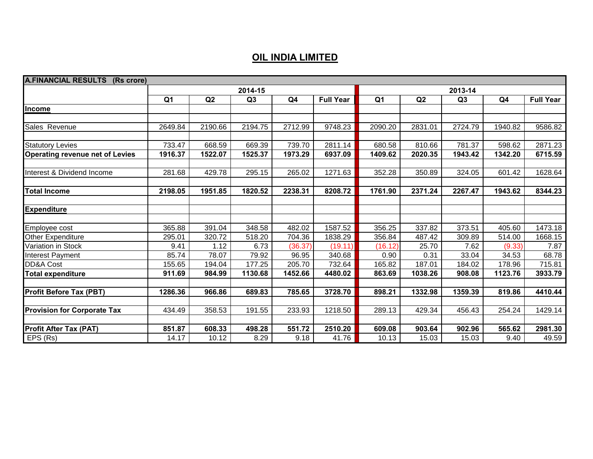## **OIL INDIA LIMITED**

| <b>A.FINANCIAL RESULTS (Rs crore)</b>  |                |         |                |         |                  |                |         |         |                |                  |
|----------------------------------------|----------------|---------|----------------|---------|------------------|----------------|---------|---------|----------------|------------------|
|                                        |                | 2013-14 |                |         |                  |                |         |         |                |                  |
|                                        | Q <sub>1</sub> | Q2      | Q <sub>3</sub> | Q4      | <b>Full Year</b> | Q <sub>1</sub> | Q2      | Q3      | Q <sub>4</sub> | <b>Full Year</b> |
| Income                                 |                |         |                |         |                  |                |         |         |                |                  |
|                                        |                |         |                |         |                  |                |         |         |                |                  |
| Sales Revenue                          | 2649.84        | 2190.66 | 2194.75        | 2712.99 | 9748.23          | 2090.20        | 2831.01 | 2724.79 | 1940.82        | 9586.82          |
|                                        |                |         |                |         |                  |                |         |         |                |                  |
| <b>Statutory Levies</b>                | 733.47         | 668.59  | 669.39         | 739.70  | 2811.14          | 680.58         | 810.66  | 781.37  | 598.62         | 2871.23          |
| <b>Operating revenue net of Levies</b> | 1916.37        | 1522.07 | 1525.37        | 1973.29 | 6937.09          | 1409.62        | 2020.35 | 1943.42 | 1342.20        | 6715.59          |
|                                        |                |         |                |         |                  |                |         |         |                |                  |
| Interest & Dividend Income             | 281.68         | 429.78  | 295.15         | 265.02  | 1271.63          | 352.28         | 350.89  | 324.05  | 601.42         | 1628.64          |
|                                        |                |         |                |         |                  |                |         |         |                |                  |
| <b>Total Income</b>                    | 2198.05        | 1951.85 | 1820.52        | 2238.31 | 8208.72          | 1761.90        | 2371.24 | 2267.47 | 1943.62        | 8344.23          |
|                                        |                |         |                |         |                  |                |         |         |                |                  |
| <b>Expenditure</b>                     |                |         |                |         |                  |                |         |         |                |                  |
| Employee cost                          | 365.88         | 391.04  | 348.58         | 482.02  | 1587.52          | 356.25         | 337.82  | 373.51  | 405.60         | 1473.18          |
| <b>Other Expenditure</b>               | 295.01         | 320.72  | 518.20         | 704.36  | 1838.29          | 356.84         | 487.42  | 309.89  | 514.00         | 1668.15          |
| Variation in Stock                     | 9.41           | 1.12    | 6.73           | (36.37) | (19.11)          | (16.12)        | 25.70   | 7.62    | (9.33)         | 7.87             |
| Interest Payment                       | 85.74          | 78.07   | 79.92          | 96.95   | 340.68           | 0.90           | 0.31    | 33.04   | 34.53          | 68.78            |
| DD&A Cost                              | 155.65         | 194.04  | 177.25         | 205.70  | 732.64           | 165.82         | 187.01  | 184.02  | 178.96         | 715.81           |
| <b>Total expenditure</b>               | 911.69         | 984.99  | 1130.68        | 1452.66 | 4480.02          | 863.69         | 1038.26 | 908.08  | 1123.76        | 3933.79          |
|                                        |                |         |                |         |                  |                |         |         |                |                  |
| <b>Profit Before Tax (PBT)</b>         | 1286.36        | 966.86  | 689.83         | 785.65  | 3728.70          | 898.21         | 1332.98 | 1359.39 | 819.86         | 4410.44          |
|                                        |                |         |                |         |                  |                |         |         |                |                  |
| <b>Provision for Corporate Tax</b>     | 434.49         | 358.53  | 191.55         | 233.93  | 1218.50          | 289.13         | 429.34  | 456.43  | 254.24         | 1429.14          |
|                                        |                |         |                |         |                  |                |         |         |                |                  |
| <b>Profit After Tax (PAT)</b>          | 851.87         | 608.33  | 498.28         | 551.72  | 2510.20          | 609.08         | 903.64  | 902.96  | 565.62         | 2981.30          |
| EPS (Rs)                               | 14.17          | 10.12   | 8.29           | 9.18    | 41.76            | 10.13          | 15.03   | 15.03   | 9.40           | 49.59            |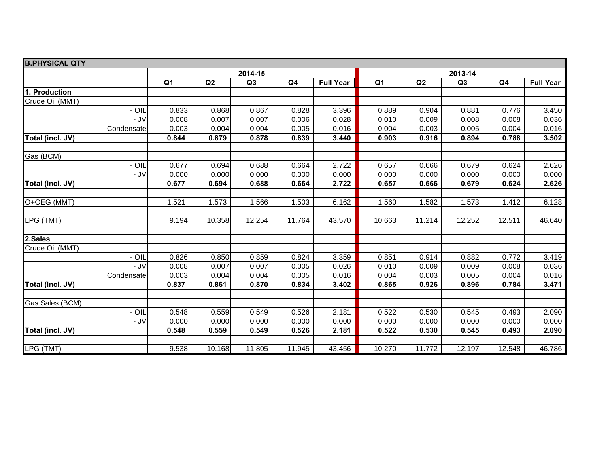| <b>B.PHYSICAL QTY</b> |                |        |                |        |                  |                |        |                |        |                  |  |  |
|-----------------------|----------------|--------|----------------|--------|------------------|----------------|--------|----------------|--------|------------------|--|--|
|                       |                |        | 2014-15        |        |                  | 2013-14        |        |                |        |                  |  |  |
|                       | Q <sub>1</sub> | Q2     | Q <sub>3</sub> | Q4     | <b>Full Year</b> | Q <sub>1</sub> | Q2     | Q <sub>3</sub> | Q4     | <b>Full Year</b> |  |  |
| 1. Production         |                |        |                |        |                  |                |        |                |        |                  |  |  |
| Crude Oil (MMT)       |                |        |                |        |                  |                |        |                |        |                  |  |  |
| - OII                 | 0.833          | 0.868  | 0.867          | 0.828  | 3.396            | 0.889          | 0.904  | 0.881          | 0.776  | 3.450            |  |  |
| - JV                  | 0.008          | 0.007  | 0.007          | 0.006  | 0.028            | 0.010          | 0.009  | 0.008          | 0.008  | 0.036            |  |  |
| Condensate            | 0.003          | 0.004  | 0.004          | 0.005  | 0.016            | 0.004          | 0.003  | 0.005          | 0.004  | 0.016            |  |  |
| Total (incl. JV)      | 0.844          | 0.879  | 0.878          | 0.839  | 3.440            | 0.903          | 0.916  | 0.894          | 0.788  | 3.502            |  |  |
| Gas (BCM)             |                |        |                |        |                  |                |        |                |        |                  |  |  |
| - OIL                 | 0.677          | 0.694  | 0.688          | 0.664  | 2.722            | 0.657          | 0.666  | 0.679          | 0.624  | 2.626            |  |  |
| $-JV$                 | 0.000          | 0.000  | 0.000          | 0.000  | 0.000            | 0.000          | 0.000  | 0.000          | 0.000  | 0.000            |  |  |
| Total (incl. JV)      | 0.677          | 0.694  | 0.688          | 0.664  | 2.722            | 0.657          | 0.666  | 0.679          | 0.624  | 2.626            |  |  |
| O+OEG (MMT)           | 1.521          | 1.573  | 1.566          | 1.503  | 6.162            | 1.560          | 1.582  | 1.573          | 1.412  | 6.128            |  |  |
|                       |                |        |                |        |                  |                |        |                |        |                  |  |  |
| LPG (TMT)             | 9.194          | 10.358 | 12.254         | 11.764 | 43.570           | 10.663         | 11.214 | 12.252         | 12.511 | 46.640           |  |  |
| 2.Sales               |                |        |                |        |                  |                |        |                |        |                  |  |  |
| Crude Oil (MMT)       |                |        |                |        |                  |                |        |                |        |                  |  |  |
| - OII                 | 0.826          | 0.850  | 0.859          | 0.824  | 3.359            | 0.851          | 0.914  | 0.882          | 0.772  | 3.419            |  |  |
| - JV                  | 0.008          | 0.007  | 0.007          | 0.005  | 0.026            | 0.010          | 0.009  | 0.009          | 0.008  | 0.036            |  |  |
| Condensate            | 0.003          | 0.004  | 0.004          | 0.005  | 0.016            | 0.004          | 0.003  | 0.005          | 0.004  | 0.016            |  |  |
| Total (incl. JV)      | 0.837          | 0.861  | 0.870          | 0.834  | 3.402            | 0.865          | 0.926  | 0.896          | 0.784  | 3.471            |  |  |
| Gas Sales (BCM)       |                |        |                |        |                  |                |        |                |        |                  |  |  |
| - OIL                 | 0.548          | 0.559  | 0.549          | 0.526  | 2.181            | 0.522          | 0.530  | 0.545          | 0.493  | 2.090            |  |  |
| $-JV$                 | 0.000          | 0.000  | 0.000          | 0.000  | 0.000            | 0.000          | 0.000  | 0.000          | 0.000  | 0.000            |  |  |
| Total (incl. JV)      | 0.548          | 0.559  | 0.549          | 0.526  | 2.181            | 0.522          | 0.530  | 0.545          | 0.493  | 2.090            |  |  |
|                       |                |        |                |        |                  |                |        |                |        |                  |  |  |
| LPG (TMT)             | 9.538          | 10.168 | 11.805         | 11.945 | 43.456           | 10.270         | 11.772 | 12.197         | 12.548 | 46.786           |  |  |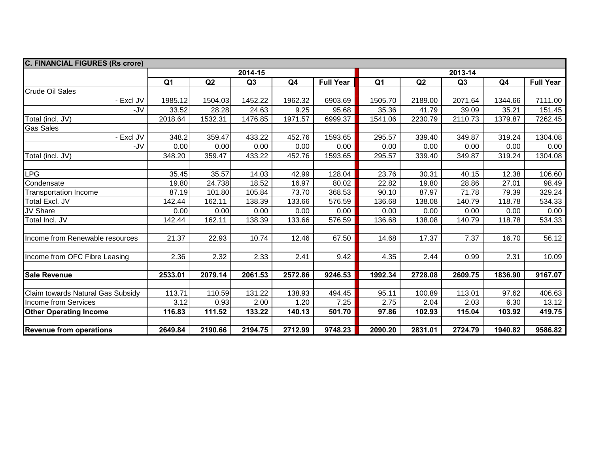| <b>C. FINANCIAL FIGURES (Rs crore)</b> |                |         |                |                |                  |                |         |         |         |                  |  |  |
|----------------------------------------|----------------|---------|----------------|----------------|------------------|----------------|---------|---------|---------|------------------|--|--|
|                                        |                |         | 2014-15        |                |                  | 2013-14        |         |         |         |                  |  |  |
|                                        | Q <sub>1</sub> | Q2      | Q <sub>3</sub> | Q <sub>4</sub> | <b>Full Year</b> | Q <sub>1</sub> | Q2      | Q3      | Q4      | <b>Full Year</b> |  |  |
| <b>Crude Oil Sales</b>                 |                |         |                |                |                  |                |         |         |         |                  |  |  |
| - Excl JV                              | 1985.12        | 1504.03 | 1452.22        | 1962.32        | 6903.69          | 1505.70        | 2189.00 | 2071.64 | 1344.66 | 7111.00          |  |  |
| -JV                                    | 33.52          | 28.28   | 24.63          | 9.25           | 95.68            | 35.36          | 41.79   | 39.09   | 35.21   | 151.45           |  |  |
| Total (incl. JV)                       | 2018.64        | 1532.31 | 1476.85        | 1971.57        | 6999.37          | 1541.06        | 2230.79 | 2110.73 | 1379.87 | 7262.45          |  |  |
| <b>Gas Sales</b>                       |                |         |                |                |                  |                |         |         |         |                  |  |  |
| - Excl JV                              | 348.2          | 359.47  | 433.22         | 452.76         | 1593.65          | 295.57         | 339.40  | 349.87  | 319.24  | 1304.08          |  |  |
| -JV                                    | 0.00           | 0.00    | 0.00           | 0.00           | 0.00             | 0.00           | 0.00    | 0.00    | 0.00    | 0.00             |  |  |
| Total (incl. JV)                       | 348.20         | 359.47  | 433.22         | 452.76         | 1593.65          | 295.57         | 339.40  | 349.87  | 319.24  | 1304.08          |  |  |
|                                        |                |         |                |                |                  |                |         |         |         |                  |  |  |
| <b>LPG</b>                             | 35.45          | 35.57   | 14.03          | 42.99          | 128.04           | 23.76          | 30.31   | 40.15   | 12.38   | 106.60           |  |  |
| Condensate                             | 19.80          | 24.738  | 18.52          | 16.97          | 80.02            | 22.82          | 19.80   | 28.86   | 27.01   | 98.49            |  |  |
| <b>Transportation Income</b>           | 87.19          | 101.80  | 105.84         | 73.70          | 368.53           | 90.10          | 87.97   | 71.78   | 79.39   | 329.24           |  |  |
| Total Excl. JV                         | 142.44         | 162.11  | 138.39         | 133.66         | 576.59           | 136.68         | 138.08  | 140.79  | 118.78  | 534.33           |  |  |
| JV Share                               | 0.00           | 0.00    | 0.00           | 0.00           | 0.00             | 0.00           | 0.00    | 0.00    | 0.00    | 0.00             |  |  |
| Total Incl. JV                         | 142.44         | 162.11  | 138.39         | 133.66         | 576.59           | 136.68         | 138.08  | 140.79  | 118.78  | 534.33           |  |  |
|                                        |                |         |                |                |                  |                |         |         |         |                  |  |  |
| Income from Renewable resources        | 21.37          | 22.93   | 10.74          | 12.46          | 67.50            | 14.68          | 17.37   | 7.37    | 16.70   | 56.12            |  |  |
|                                        |                |         |                |                |                  |                |         |         |         |                  |  |  |
| Income from OFC Fibre Leasing          | 2.36           | 2.32    | 2.33           | 2.41           | 9.42             | 4.35           | 2.44    | 0.99    | 2.31    | 10.09            |  |  |
|                                        |                |         |                |                |                  |                |         |         |         |                  |  |  |
| <b>Sale Revenue</b>                    | 2533.01        | 2079.14 | 2061.53        | 2572.86        | 9246.53          | 1992.34        | 2728.08 | 2609.75 | 1836.90 | 9167.07          |  |  |
|                                        |                |         |                |                |                  |                |         |         |         |                  |  |  |
| Claim towards Natural Gas Subsidy      | 113.71         | 110.59  | 131.22         | 138.93         | 494.45           | 95.11          | 100.89  | 113.01  | 97.62   | 406.63           |  |  |
| Income from Services                   | 3.12           | 0.93    | 2.00           | 1.20           | 7.25             | 2.75           | 2.04    | 2.03    | 6.30    | 13.12            |  |  |
| <b>Other Operating Income</b>          | 116.83         | 111.52  | 133.22         | 140.13         | 501.70           | 97.86          | 102.93  | 115.04  | 103.92  | 419.75           |  |  |
|                                        |                |         |                |                |                  |                |         |         |         |                  |  |  |
| <b>Revenue from operations</b>         | 2649.84        | 2190.66 | 2194.75        | 2712.99        | 9748.23          | 2090.20        | 2831.01 | 2724.79 | 1940.82 | 9586.82          |  |  |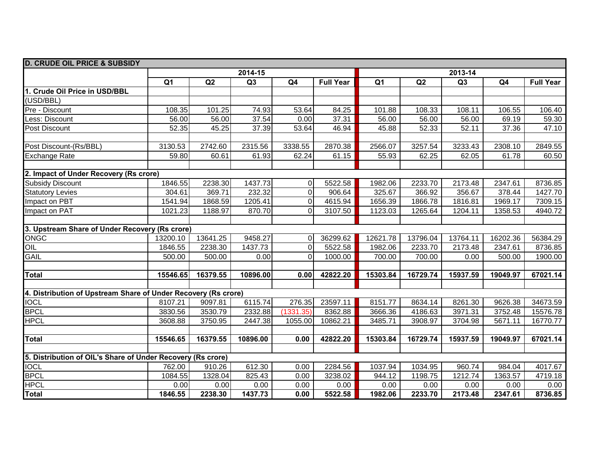| <b>D. CRUDE OIL PRICE &amp; SUBSIDY</b>                        |                |          |                |             |                  |                |          |                |          |                  |  |  |
|----------------------------------------------------------------|----------------|----------|----------------|-------------|------------------|----------------|----------|----------------|----------|------------------|--|--|
|                                                                | 2014-15        |          |                |             |                  | 2013-14        |          |                |          |                  |  |  |
|                                                                | Q <sub>1</sub> | Q2       | Q <sub>3</sub> | Q4          | <b>Full Year</b> | Q <sub>1</sub> | Q2       | Q <sub>3</sub> | Q4       | <b>Full Year</b> |  |  |
| 1. Crude Oil Price in USD/BBL                                  |                |          |                |             |                  |                |          |                |          |                  |  |  |
| (USD/BBL)                                                      |                |          |                |             |                  |                |          |                |          |                  |  |  |
| Pre - Discount                                                 | 108.35         | 101.25   | 74.93          | 53.64       | 84.25            | 101.88         | 108.33   | 108.11         | 106.55   | 106.40           |  |  |
| ess: Discount                                                  | 56.00          | 56.00    | 37.54          | 0.00        | 37.31            | 56.00          | 56.00    | 56.00          | 69.19    | 59.30            |  |  |
| Post Discount                                                  | 52.35          | 45.25    | 37.39          | 53.64       | 46.94            | 45.88          | 52.33    | 52.11          | 37.36    | 47.10            |  |  |
|                                                                |                |          |                |             |                  |                |          |                |          |                  |  |  |
| Post Discount-(Rs/BBL)                                         | 3130.53        | 2742.60  | 2315.56        | 3338.55     | 2870.38          | 2566.07        | 3257.54  | 3233.43        | 2308.10  | 2849.55          |  |  |
| <b>Exchange Rate</b>                                           | 59.80          | 60.61    | 61.93          | 62.24       | 61.15            | 55.93          | 62.25    | 62.05          | 61.78    | 60.50            |  |  |
|                                                                |                |          |                |             |                  |                |          |                |          |                  |  |  |
| 2. Impact of Under Recovery (Rs crore)                         |                |          |                |             |                  |                |          |                |          |                  |  |  |
| <b>Subsidy Discount</b>                                        | 1846.55        | 2238.30  | 1437.73        | $\mathbf 0$ | 5522.58          | 1982.06        | 2233.70  | 2173.48        | 2347.61  | 8736.85          |  |  |
| <b>Statutory Levies</b>                                        | 304.61         | 369.71   | 232.32         | 0           | 906.64           | 325.67         | 366.92   | 356.67         | 378.44   | 1427.70          |  |  |
| Impact on PBT                                                  | 1541.94        | 1868.59  | 1205.41        | 0           | 4615.94          | 1656.39        | 1866.78  | 1816.81        | 1969.17  | 7309.15          |  |  |
| Impact on PAT                                                  | 1021.23        | 1188.97  | 870.70         | $\Omega$    | 3107.50          | 1123.03        | 1265.64  | 1204.11        | 1358.53  | 4940.72          |  |  |
|                                                                |                |          |                |             |                  |                |          |                |          |                  |  |  |
| 3. Upstream Share of Under Recovery (Rs crore)                 |                |          |                |             |                  |                |          |                |          |                  |  |  |
| ONGC                                                           | 13200.10       | 13641.25 | 9458.27        | $\Omega$    | 36299.62         | 12621.78       | 13796.04 | 13764.11       | 16202.36 | 56384.29         |  |  |
| OIL                                                            | 1846.55        | 2238.30  | 1437.73        | $\Omega$    | 5522.58          | 1982.06        | 2233.70  | 2173.48        | 2347.61  | 8736.85          |  |  |
| <b>GAIL</b>                                                    | 500.00         | 500.00   | 0.00           | $\Omega$    | 1000.00          | 700.00         | 700.00   | 0.00           | 500.00   | 1900.00          |  |  |
|                                                                |                |          |                |             |                  |                |          |                |          |                  |  |  |
| <b>Total</b>                                                   | 15546.65       | 16379.55 | 10896.00       | 0.00        | 42822.20         | 15303.84       | 16729.74 | 15937.59       | 19049.97 | 67021.14         |  |  |
|                                                                |                |          |                |             |                  |                |          |                |          |                  |  |  |
| 4. Distribution of Upstream Share of Under Recovery (Rs crore) |                |          |                |             |                  |                |          |                |          |                  |  |  |
| <b>IOCL</b>                                                    | 8107.21        | 9097.81  | 6115.74        | 276.35      | 23597.11         | 8151.77        | 8634.14  | 8261.30        | 9626.38  | 34673.59         |  |  |
| <b>BPCL</b>                                                    | 3830.56        | 3530.79  | 2332.88        | (1331.35)   | 8362.88          | 3666.36        | 4186.63  | 3971.31        | 3752.48  | 15576.78         |  |  |
| <b>HPCL</b>                                                    | 3608.88        | 3750.95  | 2447.38        | 1055.00     | 10862.21         | 3485.71        | 3908.97  | 3704.98        | 5671.11  | 16770.77         |  |  |
|                                                                |                |          |                |             |                  |                |          |                |          |                  |  |  |
| <b>Total</b>                                                   | 15546.65       | 16379.55 | 10896.00       | 0.00        | 42822.20         | 15303.84       | 16729.74 | 15937.59       | 19049.97 | 67021.14         |  |  |
|                                                                |                |          |                |             |                  |                |          |                |          |                  |  |  |
| 5. Distribution of OIL's Share of Under Recovery (Rs crore)    |                |          |                |             |                  |                |          |                |          |                  |  |  |
| <b>IOCL</b>                                                    | 762.00         | 910.26   | 612.30         | 0.00        | 2284.56          | 1037.94        | 1034.95  | 960.74         | 984.04   | 4017.67          |  |  |
| <b>BPCL</b>                                                    | 1084.55        | 1328.04  | 825.43         | 0.00        | 3238.02          | 944.12         | 1198.75  | 1212.74        | 1363.57  | 4719.18          |  |  |
| <b>HPCL</b>                                                    | 0.00           | 0.00     | 0.00           | 0.00        | 0.00             | 0.00           | 0.00     | 0.00           | 0.00     | 0.00             |  |  |
| Total                                                          | 1846.55        | 2238.30  | 1437.73        | 0.00        | 5522.58          | 1982.06        | 2233.70  | 2173.48        | 2347.61  | 8736.85          |  |  |